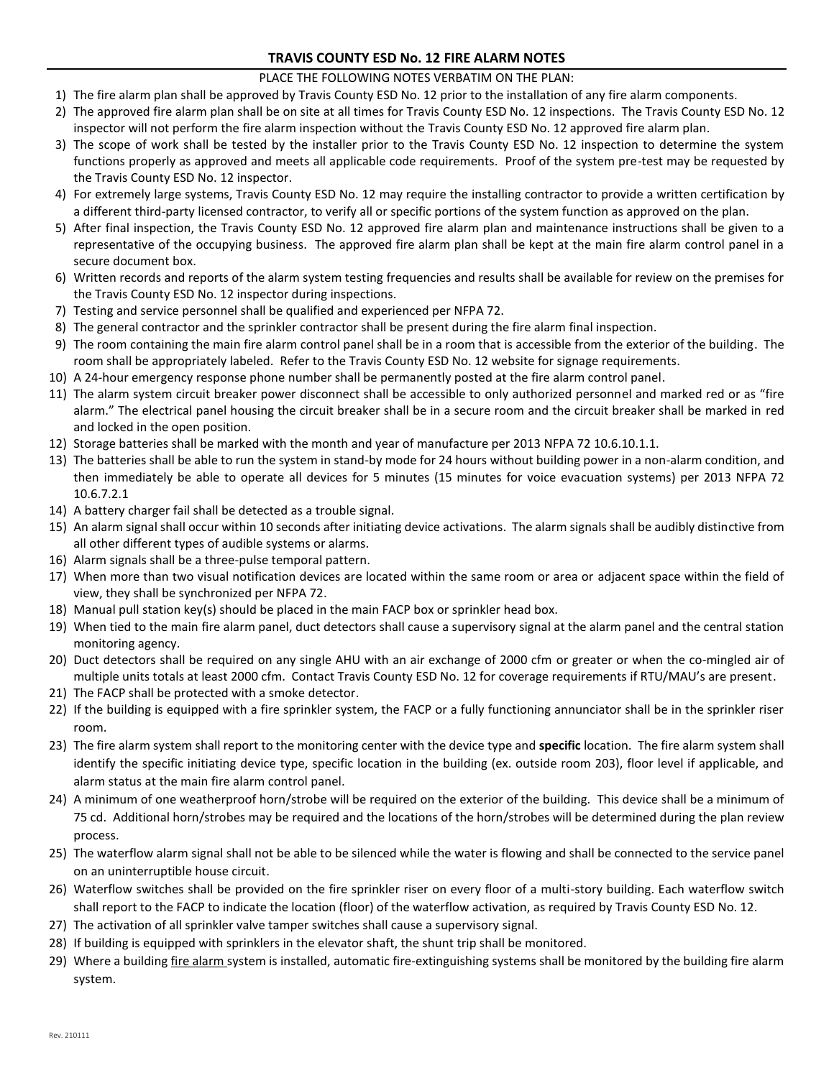## **TRAVIS COUNTY ESD No. 12 FIRE ALARM NOTES**

## PLACE THE FOLLOWING NOTES VERBATIM ON THE PLAN:

- 1) The fire alarm plan shall be approved by Travis County ESD No. 12 prior to the installation of any fire alarm components.
- 2) The approved fire alarm plan shall be on site at all times for Travis County ESD No. 12 inspections. The Travis County ESD No. 12 inspector will not perform the fire alarm inspection without the Travis County ESD No. 12 approved fire alarm plan.
- 3) The scope of work shall be tested by the installer prior to the Travis County ESD No. 12 inspection to determine the system functions properly as approved and meets all applicable code requirements. Proof of the system pre-test may be requested by the Travis County ESD No. 12 inspector.
- 4) For extremely large systems, Travis County ESD No. 12 may require the installing contractor to provide a written certification by a different third-party licensed contractor, to verify all or specific portions of the system function as approved on the plan.
- 5) After final inspection, the Travis County ESD No. 12 approved fire alarm plan and maintenance instructions shall be given to a representative of the occupying business. The approved fire alarm plan shall be kept at the main fire alarm control panel in a secure document box.
- 6) Written records and reports of the alarm system testing frequencies and results shall be available for review on the premises for the Travis County ESD No. 12 inspector during inspections.
- 7) Testing and service personnel shall be qualified and experienced per NFPA 72.
- 8) The general contractor and the sprinkler contractor shall be present during the fire alarm final inspection.
- 9) The room containing the main fire alarm control panel shall be in a room that is accessible from the exterior of the building. The room shall be appropriately labeled. Refer to the Travis County ESD No. 12 website for signage requirements.
- 10) A 24-hour emergency response phone number shall be permanently posted at the fire alarm control panel.
- 11) The alarm system circuit breaker power disconnect shall be accessible to only authorized personnel and marked red or as "fire alarm." The electrical panel housing the circuit breaker shall be in a secure room and the circuit breaker shall be marked in red and locked in the open position.
- 12) Storage batteries shall be marked with the month and year of manufacture per 2013 NFPA 72 10.6.10.1.1.
- 13) The batteries shall be able to run the system in stand-by mode for 24 hours without building power in a non-alarm condition, and then immediately be able to operate all devices for 5 minutes (15 minutes for voice evacuation systems) per 2013 NFPA 72 10.6.7.2.1
- 14) A battery charger fail shall be detected as a trouble signal.
- 15) An alarm signal shall occur within 10 seconds after initiating device activations. The alarm signals shall be audibly distinctive from all other different types of audible systems or alarms.
- 16) Alarm signals shall be a three-pulse temporal pattern.
- 17) When more than two visual notification devices are located within the same room or area or adjacent space within the field of view, they shall be synchronized per NFPA 72.
- 18) Manual pull station key(s) should be placed in the main FACP box or sprinkler head box.
- 19) When tied to the main fire alarm panel, duct detectors shall cause a supervisory signal at the alarm panel and the central station monitoring agency.
- 20) Duct detectors shall be required on any single AHU with an air exchange of 2000 cfm or greater or when the co-mingled air of multiple units totals at least 2000 cfm. Contact Travis County ESD No. 12 for coverage requirements if RTU/MAU's are present.
- 21) The FACP shall be protected with a smoke detector.
- 22) If the building is equipped with a fire sprinkler system, the FACP or a fully functioning annunciator shall be in the sprinkler riser room.
- 23) The fire alarm system shall report to the monitoring center with the device type and **specific** location. The fire alarm system shall identify the specific initiating device type, specific location in the building (ex. outside room 203), floor level if applicable, and alarm status at the main fire alarm control panel.
- 24) A minimum of one weatherproof horn/strobe will be required on the exterior of the building. This device shall be a minimum of 75 cd. Additional horn/strobes may be required and the locations of the horn/strobes will be determined during the plan review process.
- 25) The waterflow alarm signal shall not be able to be silenced while the water is flowing and shall be connected to the service panel on an uninterruptible house circuit.
- 26) Waterflow switches shall be provided on the fire sprinkler riser on every floor of a multi-story building. Each waterflow switch shall report to the FACP to indicate the location (floor) of the waterflow activation, as required by Travis County ESD No. 12.
- 27) The activation of all sprinkler valve tamper switches shall cause a supervisory signal.
- 28) If building is equipped with sprinklers in the elevator shaft, the shunt trip shall be monitored.
- 29) Where a building *fire alarm* system is installed, automatic fire-extinguishing systems shall be monitored by the building fire alarm system.